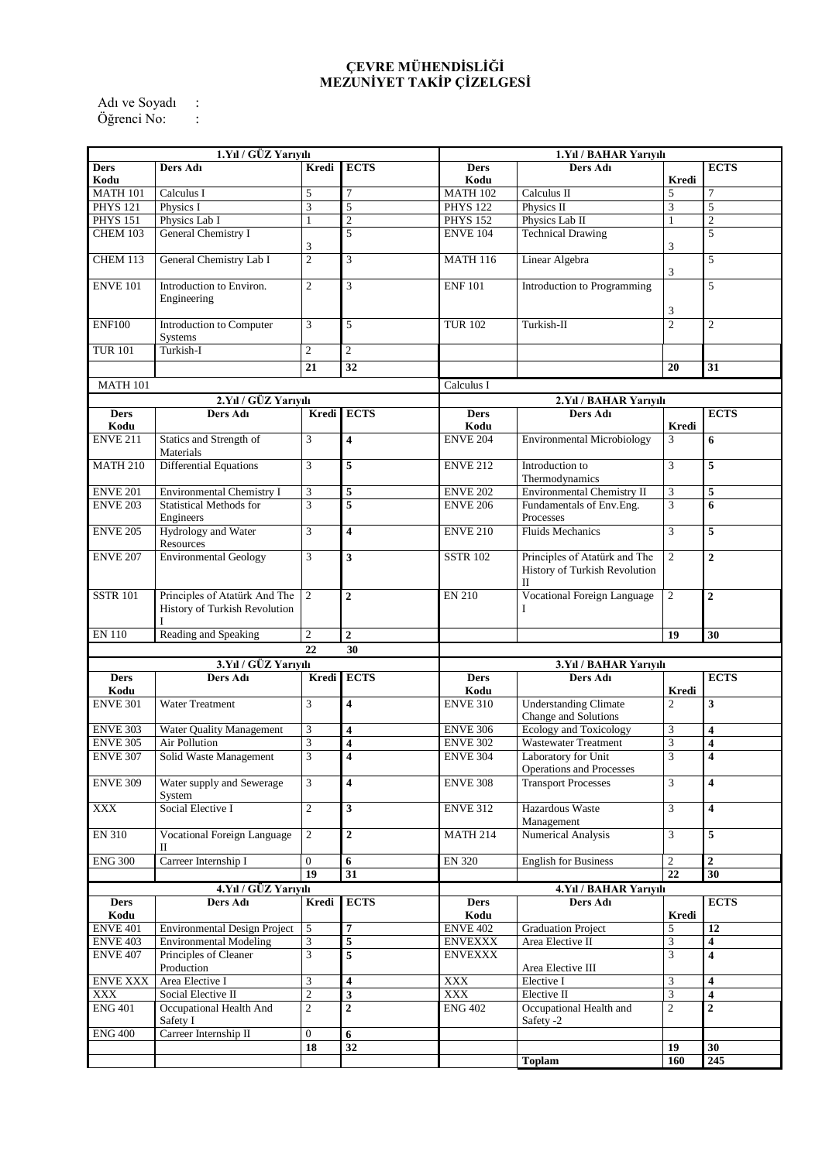## **ÇEVRE MÜHENDİSLİĞİ MEZUNİYET TAKİP ÇİZELGESİ**

Adı ve Soyadı : Öğrenci No: :

| 1.Yıl / GÜZ Yarıyılı               |                                                                      |                                  |                         | 1.Yıl / BAHAR Yarıyılı             |                                                                                        |                                   |                               |
|------------------------------------|----------------------------------------------------------------------|----------------------------------|-------------------------|------------------------------------|----------------------------------------------------------------------------------------|-----------------------------------|-------------------------------|
| <b>Ders</b><br>Kodu                | Ders Adı                                                             | Kredi                            | <b>ECTS</b>             | <b>Ders</b><br>Kodu                | Ders Adı                                                                               | Kredi                             | <b>ECTS</b>                   |
| <b>MATH 101</b>                    | Calculus I                                                           | 5                                | 7                       | <b>MATH 102</b>                    | Calculus II                                                                            | 5                                 | 7                             |
| <b>PHYS 121</b>                    | Physics I                                                            | 3                                | 5                       | <b>PHYS 122</b>                    | Physics II                                                                             | 3                                 | $\overline{5}$                |
| <b>PHYS 151</b>                    | Physics Lab I                                                        | $\mathbf{1}$                     | $\overline{2}$          | <b>PHYS 152</b>                    | Physics Lab II                                                                         | $\mathbf{1}$                      | $\overline{2}$                |
| CHEM 103                           | General Chemistry I                                                  | $\mathfrak{Z}$                   | 5                       | <b>ENVE 104</b>                    | <b>Technical Drawing</b>                                                               | 3                                 | 5                             |
| CHEM 113                           | General Chemistry Lab I                                              | $\overline{c}$                   | 3                       | <b>MATH 116</b>                    | Linear Algebra                                                                         | 3                                 | 5                             |
| <b>ENVE 101</b>                    | Introduction to Environ.<br>Engineering                              | $\overline{2}$                   | $\overline{3}$          | <b>ENF 101</b>                     | Introduction to Programming                                                            | 3                                 | 5                             |
| <b>ENF100</b>                      | Introduction to Computer<br>Systems                                  | 3                                | 5                       | <b>TUR 102</b>                     | Turkish-II                                                                             | $\overline{2}$                    | $\overline{c}$                |
| <b>TUR 101</b>                     | Turkish-I                                                            | $\mathfrak{2}$                   | $\overline{2}$          |                                    |                                                                                        |                                   |                               |
|                                    |                                                                      | $\overline{21}$                  | $\overline{32}$         |                                    |                                                                                        | 20                                | 31                            |
|                                    |                                                                      |                                  |                         |                                    |                                                                                        |                                   |                               |
| <b>MATH 101</b>                    |                                                                      |                                  |                         | Calculus I                         |                                                                                        |                                   |                               |
| 2.Yıl / GÜZ Yarıyılı               |                                                                      |                                  |                         | 2. Yıl / BAHAR Yarıyılı            |                                                                                        |                                   |                               |
| <b>Ders</b><br>Kodu                | Ders Adı                                                             |                                  | Kredi ECTS              | <b>Ders</b><br>Kodu                | Ders Adı                                                                               | <b>Kredi</b>                      | <b>ECTS</b>                   |
| <b>ENVE 211</b>                    | Statics and Strength of<br>Materials                                 | 3                                | 4                       | <b>ENVE 204</b>                    | <b>Environmental Microbiology</b>                                                      | 3                                 | 6                             |
| <b>MATH 210</b>                    | Differential Equations                                               | 3                                | 5                       | <b>ENVE 212</b>                    | Introduction to<br>Thermodynamics                                                      | 3                                 | 5                             |
| <b>ENVE 201</b>                    | Environmental Chemistry I                                            | $\mathfrak{Z}$                   | 5                       | <b>ENVE 202</b>                    | Environmental Chemistry II                                                             | 3                                 | 5                             |
| <b>ENVE 203</b>                    | <b>Statistical Methods for</b><br>Engineers                          | 3                                | 5                       | <b>ENVE 206</b>                    | Fundamentals of Env.Eng.<br>Processes                                                  | 3                                 | 6                             |
| <b>ENVE 205</b>                    | Hydrology and Water<br>Resources                                     | 3                                | 4                       | <b>ENVE 210</b>                    | <b>Fluids Mechanics</b>                                                                | 3                                 | 5                             |
| <b>ENVE 207</b>                    | <b>Environmental Geology</b>                                         | 3                                | 3                       | <b>SSTR 102</b>                    | Principles of Atatürk and The<br>History of Turkish Revolution<br>$\scriptstyle\rm II$ | 2                                 | $\overline{2}$                |
| <b>SSTR 101</b>                    | Principles of Atatürk And The<br>History of Turkish Revolution       | 2                                | $\overline{2}$          | <b>EN 210</b>                      | <b>Vocational Foreign Language</b>                                                     | $\overline{2}$                    | $\overline{2}$                |
|                                    |                                                                      |                                  |                         |                                    | Ι                                                                                      |                                   |                               |
| <b>EN 110</b>                      | Reading and Speaking                                                 | $\overline{2}$                   | $\overline{\mathbf{c}}$ |                                    |                                                                                        | 19                                | 30                            |
|                                    |                                                                      | 22                               | 30                      |                                    |                                                                                        |                                   |                               |
|                                    |                                                                      |                                  |                         |                                    |                                                                                        |                                   |                               |
| <b>Ders</b>                        | 3.Yıl / GÜZ Yarıyılı<br>Ders Adı                                     | Kredi                            | <b>ECTS</b>             | <b>Ders</b>                        | 3.Yıl / BAHAR Yarıyılı<br>Ders Adı                                                     |                                   | <b>ECTS</b>                   |
| Kodu<br><b>ENVE 301</b>            | <b>Water Treatment</b>                                               | 3                                | 4                       | Kodu<br><b>ENVE 310</b>            | <b>Understanding Climate</b>                                                           | Kredi<br>$\overline{c}$           | 3                             |
| <b>ENVE 303</b>                    | <b>Water Ouality Management</b>                                      |                                  |                         | <b>ENVE 306</b>                    | Change and Solutions                                                                   |                                   | 4                             |
|                                    | Air Pollution                                                        | $\mathfrak{Z}$                   | 4                       |                                    | Ecology and Toxicology                                                                 | $\mathfrak{Z}$                    | 4                             |
| <b>ENVE 305</b><br><b>ENVE 307</b> | Solid Waste Management                                               | $\ensuremath{\mathfrak{Z}}$<br>3 | 4<br>4                  | <b>ENVE 302</b><br><b>ENVE 304</b> | <b>Wastewater Treatment</b><br>Laboratory for Unit                                     | $\ensuremath{\mathfrak{Z}}$<br>3  | 4                             |
| <b>ENVE 309</b>                    | Water supply and Sewerage                                            | 3                                | 4                       | <b>ENVE 308</b>                    | <b>Operations and Processes</b><br><b>Transport Processes</b>                          | 3                                 | 4                             |
| <b>XXX</b>                         | System<br>Social Elective I                                          | $\overline{2}$                   | $\overline{\mathbf{3}}$ | <b>ENVE 312</b>                    | Hazardous Waste                                                                        | $\overline{3}$                    | $\overline{\mathbf{4}}$       |
| EN 310                             | <b>Vocational Foreign Language</b><br>П                              | $\overline{2}$                   | $\boldsymbol{2}$        | <b>MATH 214</b>                    | Management<br>Numerical Analysis                                                       | 3                                 | 5                             |
|                                    |                                                                      | $\Omega$                         |                         |                                    |                                                                                        |                                   | $\mathbf{2}$                  |
| <b>ENG 300</b>                     | Carreer Internship I                                                 | 19                               | 6<br>31                 | <b>EN 320</b>                      | <b>English for Business</b>                                                            | $\overline{c}$<br>$\overline{22}$ | 30                            |
|                                    |                                                                      |                                  |                         |                                    | 4.Yıl / BAHAR Yarıyılı                                                                 |                                   |                               |
| <b>Ders</b>                        | 4.Yıl / GÜZ Yarıyılı<br>Ders Adı                                     |                                  |                         | <b>Ders</b>                        | Ders Adı                                                                               |                                   |                               |
| Kodu                               |                                                                      | Kredi                            | <b>ECTS</b>             | Kodu                               |                                                                                        | Kredi                             | <b>ECTS</b>                   |
|                                    |                                                                      |                                  | 7                       |                                    |                                                                                        | 5                                 |                               |
| <b>ENVE 401</b><br><b>ENVE 403</b> | <b>Environmental Design Project</b><br><b>Environmental Modeling</b> | $\sqrt{5}$                       | 5                       | <b>ENVE 402</b><br><b>ENVEXXX</b>  | <b>Graduation Project</b><br>Area Elective II                                          | $\mathfrak{Z}$                    | 12<br>$\overline{\mathbf{4}}$ |
| <b>ENVE 407</b>                    | Principles of Cleaner                                                | $\mathfrak{Z}$<br>$\overline{3}$ | 5                       | <b>ENVEXXX</b>                     |                                                                                        | $\overline{3}$                    | $\overline{\mathbf{4}}$       |
|                                    | Production                                                           |                                  |                         |                                    | Area Elective III                                                                      |                                   |                               |
| <b>ENVE XXX</b>                    | Area Elective I                                                      | $\mathfrak{Z}$                   | 4                       | XXX                                | Elective I                                                                             | $\mathfrak{Z}$                    | 4                             |
| <b>XXX</b>                         | Social Elective II                                                   | $\sqrt{2}$                       | 3                       | <b>XXX</b>                         | Elective II                                                                            | 3                                 | 4                             |
| <b>ENG 401</b>                     | Occupational Health And<br>Safety I                                  | $\overline{c}$                   | $\overline{2}$          | <b>ENG 402</b>                     | Occupational Health and<br>Safety -2                                                   | $\overline{c}$                    | $\overline{2}$                |
| <b>ENG 400</b>                     | Carreer Internship II                                                | $\overline{0}$                   | 6                       |                                    |                                                                                        |                                   |                               |
|                                    |                                                                      | 18                               | 32                      |                                    | <b>Toplam</b>                                                                          | 19<br>160                         | 30<br>$\overline{245}$        |